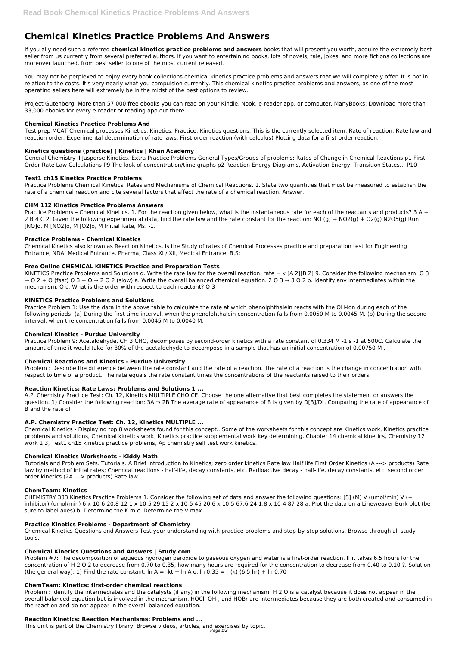# **Chemical Kinetics Practice Problems And Answers**

If you ally need such a referred **chemical kinetics practice problems and answers** books that will present you worth, acquire the extremely best seller from us currently from several preferred authors. If you want to entertaining books, lots of novels, tale, jokes, and more fictions collections are moreover launched, from best seller to one of the most current released.

You may not be perplexed to enjoy every book collections chemical kinetics practice problems and answers that we will completely offer. It is not in relation to the costs. It's very nearly what you compulsion currently. This chemical kinetics practice problems and answers, as one of the most operating sellers here will extremely be in the midst of the best options to review.

Project Gutenberg: More than 57,000 free ebooks you can read on your Kindle, Nook, e-reader app, or computer. ManyBooks: Download more than 33,000 ebooks for every e-reader or reading app out there.

# **Chemical Kinetics Practice Problems And**

Practice Problems - Chemical Kinetics. 1. For the reaction given below, what is the instantaneous rate for each of the reactants and products?  $3 A +$ 2 B 4 C 2. Given the following experimental data, find the rate law and the rate constant for the reaction: NO (g) + NO2(g) + O2(g) N2O5(g) Run [NO]o, M [NO2]o, M [O2]o, M Initial Rate, Ms. -1.

Test prep MCAT Chemical processes Kinetics. Kinetics. Practice: Kinetics questions. This is the currently selected item. Rate of reaction. Rate law and reaction order. Experimental determination of rate laws. First-order reaction (with calculus) Plotting data for a first-order reaction.

# **Kinetics questions (practice) | Kinetics | Khan Academy**

KINETICS Practice Problems and Solutions d. Write the rate law for the overall reaction. rate  $= k$  [A 2][B 2] 9. Consider the following mechanism. O 3  $\rightarrow$  O 2 + O (fast) O 3 + O  $\rightarrow$  2 O 2 (slow) a. Write the overall balanced chemical equation. 2 O 3  $\rightarrow$  3 O 2 b. Identify any intermediates within the mechanism. O c. What is the order with respect to each reactant? O 3

General Chemistry II Jasperse Kinetics. Extra Practice Problems General Types/Groups of problems: Rates of Change in Chemical Reactions p1 First Order Rate Law Calculations P9 The look of concentration/time graphs p2 Reaction Energy Diagrams, Activation Energy, Transition States… P10

# **Test1 ch15 Kinetics Practice Problems**

Practice Problems Chemical Kinetics: Rates and Mechanisms of Chemical Reactions. 1. State two quantities that must be measured to establish the rate of a chemical reaction and cite several factors that affect the rate of a chemical reaction. Answer.

# **CHM 112 Kinetics Practice Problems Answers**

# **Practice Problems – Chemical Kinetics**

Chemical Kinetics also known as Reaction Kinetics, is the Study of rates of Chemical Processes practice and preparation test for Engineering Entrance, NDA, Medical Entrance, Pharma, Class XI / XII, Medical Entrance, B.Sc

## **Free Online CHEMICAL KINETICS Practice and Preparation Tests**

Problem #7: The decomposition of aqueous hydrogen peroxide to gaseous oxygen and water is a first-order reaction. If it takes 6.5 hours for the concentration of H 2 O 2 to decrease from 0.70 to 0.35, how many hours are required for the concentration to decrease from 0.40 to 0.10 ?. Solution (the general way): 1) Find the rate constant:  $\ln A = -kt + \ln A$  o.  $\ln 0.35 = -$  (k) (6.5 hr) +  $\ln 0.70$ 

## **KINETICS Practice Problems and Solutions**

Practice Problem 1: Use the data in the above table to calculate the rate at which phenolphthalein reacts with the OH-ion during each of the following periods: (a) During the first time interval, when the phenolphthalein concentration falls from 0.0050 M to 0.0045 M. (b) During the second interval, when the concentration falls from 0.0045 M to 0.0040 M.

## **Chemical Kinetics - Purdue University**

Practice Problem 9: Acetaldehyde, CH 3 CHO, decomposes by second-order kinetics with a rate constant of 0.334 M -1 s -1 at 500C. Calculate the amount of time it would take for 80% of the acetaldehyde to decompose in a sample that has an initial concentration of 0.00750 M .

# **Chemical Reactions and Kinetics - Purdue University**

Problem : Describe the difference between the rate constant and the rate of a reaction. The rate of a reaction is the change in concentration with respect to time of a product. The rate equals the rate constant times the concentrations of the reactants raised to their orders.

## **Reaction Kinetics: Rate Laws: Problems and Solutions 1 ...**

A.P. Chemistry Practice Test: Ch. 12, Kinetics MULTIPLE CHOICE. Choose the one alternative that best completes the statement or answers the question. 1) Consider the following reaction:  $3A - 2B$  The average rate of appearance of B is given by D[B]/Dt. Comparing the rate of appearance of B and the rate of

# **A.P. Chemistry Practice Test: Ch. 12, Kinetics MULTIPLE ...**

Chemical Kinetics - Displaying top 8 worksheets found for this concept.. Some of the worksheets for this concept are Kinetics work, Kinetics practice problems and solutions, Chemical kinetics work, Kinetics practice supplemental work key determining, Chapter 14 chemical kinetics, Chemistry 12 work 1 3, Test1 ch15 kinetics practice problems, Ap chemistry self test work kinetics.

## **Chemical Kinetics Worksheets - Kiddy Math**

Tutorials and Problem Sets. Tutorials. A Brief Introduction to Kinetics; zero order kinetics Rate law Half life First Order Kinetics (A ---> products) Rate law by method of initial rates; Chemical reactions - half-life, decay constants, etc. Radioactive decay - half-life, decay constants, etc. second order order kinetics (2A ---> products) Rate law

# **ChemTeam: Kinetics**

CHEMISTRY 333 Kinetics Practice Problems 1. Consider the following set of data and answer the following questions: [S] (M) V (umol/min) V (+ inhibitor) (umol/min) 6 x 10-6 20.8 12 1 x 10-5 29 15 2 x 10-5 45 20 6 x 10-5 67.6 24 1.8 x 10-4 87 28 a. Plot the data on a Lineweaver-Burk plot (be sure to label axes) b. Determine the K m c. Determine the V max

#### **Practice Kinetics Problems - Department of Chemistry**

Chemical Kinetics Questions and Answers Test your understanding with practice problems and step-by-step solutions. Browse through all study tools.

#### **Chemical Kinetics Questions and Answers | Study.com**

#### **ChemTeam: Kinetics: first-order chemical reactions**

Problem : Identify the intermediates and the catalysts (if any) in the following mechanism. H 2 O is a catalyst because it does not appear in the overall balanced equation but is involved in the mechanism. HOCl, OH-, and HOBr are intermediates because they are both created and consumed in the reaction and do not appear in the overall balanced equation.

#### **Reaction Kinetics: Reaction Mechanisms: Problems and ...**

This unit is part of the Chemistry library. Browse videos, articles, and exercises by topic. Page 1/2